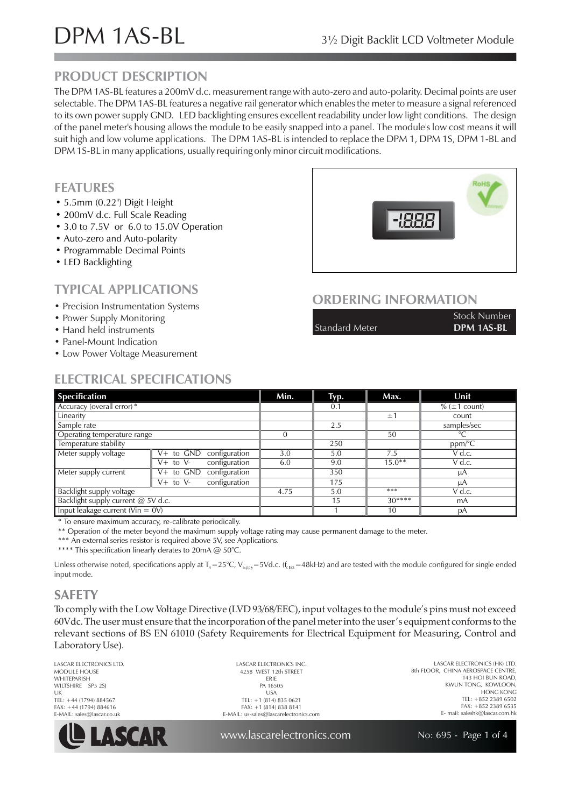# DPM 1AS-BL 3<sup>1/2</sup> Digit Backlit LCD Voltmeter Module

## **PRODUCT DESCRIPTION**

The DPM 1AS-BL features a 200mV d.c. measurement range with auto-zero and auto-polarity. Decimal points are user selectable. The DPM 1AS-BL features a negative rail generator which enables the meter to measure a signal referenced to its own power supply GND. LED backlighting ensures excellent readability under low light conditions. The design of the panel meter's housing allows the module to be easily snapped into a panel. The module's low cost means it will suit high and low volume applications. The DPM 1AS-BL is intended to replace the DPM 1, DPM 1S, DPM 1-BL and DPM 1S-BL in many applications, usually requiring only minor circuit modifications.

#### **FEATURES**

- 5.5 mm (0.22") Digit Height
- 200mV d.c. Full Scale Reading
- 3.0 to 7.5V or 6.0 to 15.0V Operation
- Auto-zero and Auto-polarity
- Programmable Decimal Points
- LED Backlighting

## **TYPICAL APPLICATIONS**

- Precision Instrumentation Systems
- Power Supply Monitoring
- Hand held instruments
- Panel-Mount Indication
- Low Power Voltage Measurement



#### **ORDERING INFORMATION**

|                | <b>Stock Number</b> |
|----------------|---------------------|
| Standard Meter | DPM 1AS-BL          |

## **ELECTRICAL SPECIFICATIONS**

| <b>Specification</b>                 |                               | Min. | Typ. | Max.     | Unit                  |
|--------------------------------------|-------------------------------|------|------|----------|-----------------------|
| Accuracy (overall error) *           |                               |      | 0.1  |          | $\%$ ( $\pm$ 1 count) |
| Linearity                            |                               |      |      | ±1       | count                 |
| Sample rate                          |                               |      | 2.5  |          | samples/sec           |
| Operating temperature range          |                               |      |      | 50       | $\overline{C}$        |
| Temperature stability                |                               |      | 250  |          | ppm/°C                |
| Meter supply voltage                 | configuration<br>V+ to GND    | 3.0  | 5.0  | 7.5      | V d.c.                |
|                                      | configuration<br>$V+$ to $V-$ | 6.0  | 9.0  | $15.0**$ | V d.c.                |
| Meter supply current                 | V+ to GND<br>configuration    |      | 350  |          | μA                    |
|                                      | $V+$ to $V-$<br>configuration |      | 175  |          | μA                    |
| Backlight supply voltage             |                               | 4.75 | 5.0  | ***      | V d.c.                |
| Backlight supply current @ 5V d.c.   |                               |      | 15   | $30***$  | mA                    |
| Input leakage current ( $V$ in = 0V) |                               |      |      | 10       | рA                    |

\* To ensure maximum accuracy, re-calibrate periodically.

\*\* Operation of the meter beyond the maximum supply voltage rating may cause permanent damage to the meter.

\*\*\* An external series resistor is required above 5V, see Applications.

\*\*\*\* This specification linearly derates to 20mA @ 50°C.

Unless otherwise noted, specifications apply at T<sub>^</sub>=25°C, V<sub>suphy</sub>=5Vd.c. (f<sub>cbck</sub>=48kHz) and are tested with the module configured for single ended input mode.

### **SAFETY**

To comply with the Low Voltage Directive (LVD 93/68/EEC), input voltages to the module's pins must not exceed 60Vdc. The user must ensure that the incorporation of the panel meter into the user's equipment conforms to the relevant sections of BS EN 61010 (Safety Requirements for Electrical Equipment for Measuring, Control and Laboratory Use).

LASCAR ELECTRONICS LTD. MODULE HOUSE WHITEPARISH WILTSHIRE SP5 2SJ UK TEL: +44 (1794) 884567 FAX: +44 (1794) 884616 E-MAIL: sales@lascar.co.uk



LASCAR ELECTRONICS INC. 4258 WEST 12th STREET ERIE PA 16505 USA TEL: +1 (814) 835 0621 FAX: +1 (814) 838 8141 E-MAIL: us-sales@lascarelectronics.com

LASCAR ELECTRONICS (HK) LTD. 8th FLOOR, CHINA AEROSPACE CENTRE, 143 HOI BUN ROAD, KWUN TONG, KOWLOON, HONG KONG TEL: +852 2389 6502 FAX: +852 2389 6535 E- mail: saleshk@lascar.com.hk

www.lascarelectronics.com

No: 695 - Page 1 of 4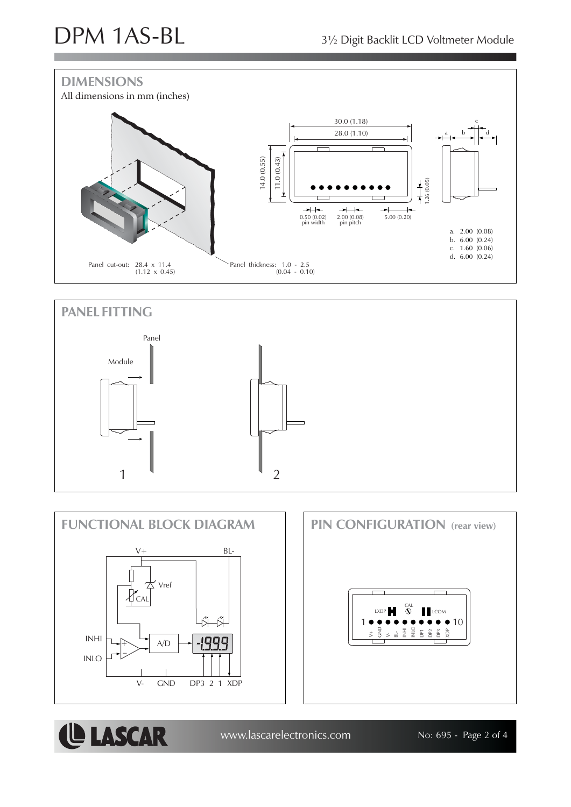LASCAR









DP3 XDP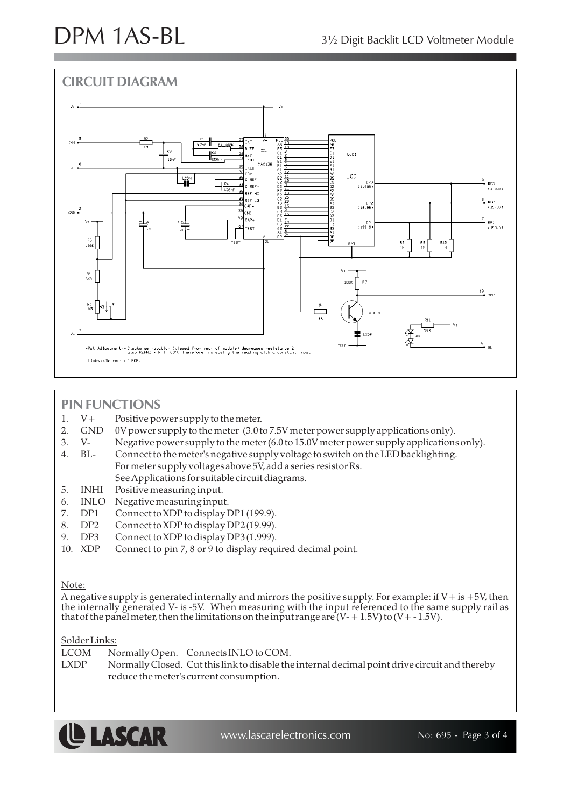

### **PIN FUNCTIONS**

- 1. V+ Positive power supply to the meter.
- 2. GND 0V power supply to the meter (3.0 to 7.5V meter power supply applications only).
- 3. V- Negative power supply to the meter (6.0 to 15.0V meter power supply applications only).
- 4. BL- Connect to the meter's negative supply voltage to switch on the LED backlighting. For meter supply voltages above 5V, add a series resistor Rs.
	- See Applications for suitable circuit diagrams.
- 5. INHI Positive measuring input.
- 6. INLO Negative measuring input.
- 7. DP1 Connect to XDP to display DP1 (199.9).
- 8. DP2 Connect to XDP to display DP2 (19.99).
- 9. DP3 Connect to XDP to display DP3 (1.999).
- 10. XDP Connect to pin 7, 8 or 9 to display required decimal point.

#### Note:

A negative supply is generated internally and mirrors the positive supply. For example: if  $V+$  is  $+5V$ , then the internally generated V- is -5V. When measuring with the input referenced to the same supply rail as that of the panel meter, then the limitations on the input range are  $(V + 1.5V)$  to  $(V + -1.5V)$ .

#### Solder Links:

LCOM Normally Open. Connects INLO to COM.

LXDP Normally Closed. Cut this link to disable the internal decimal point drive circuit and thereby reduce the meter's current consumption.



www.lascarelectronics.com